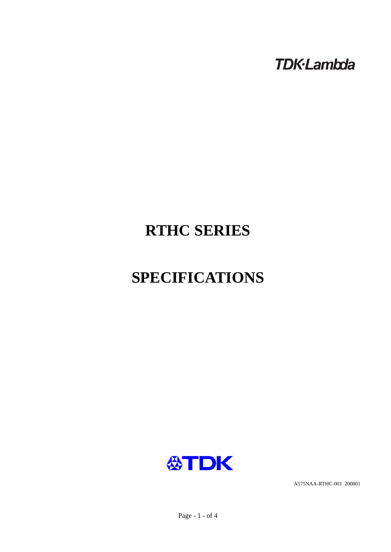**TDK-Lambda** 

# **RTHC SERIES**

# **SPECIFICATIONS**



A575NAA-RTHC-001 200801

Page - 1 - of 4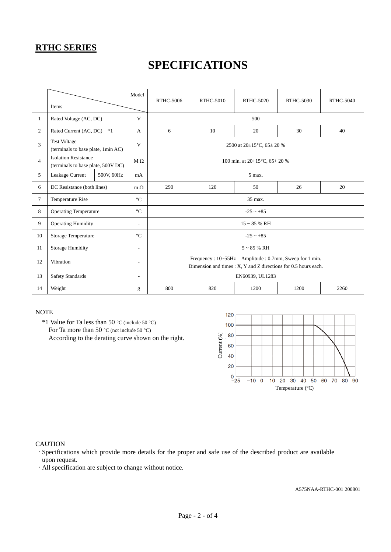### **RTHC SERIES**

## **SPECIFICATIONS**

|                | Items                                                             | Model                    | <b>RTHC-5006</b>                                                                                                         | <b>RTHC-5010</b> | <b>RTHC-5020</b> | <b>RTHC-5030</b> | <b>RTHC-5040</b> |  |
|----------------|-------------------------------------------------------------------|--------------------------|--------------------------------------------------------------------------------------------------------------------------|------------------|------------------|------------------|------------------|--|
| 1              | Rated Voltage (AC, DC)                                            | V                        | 500                                                                                                                      |                  |                  |                  |                  |  |
| 2              | Rated Current (AC, DC)                                            | $*1$<br>A                | 6                                                                                                                        | 10               | 20               | 30               | 40               |  |
| 3              | <b>Test Voltage</b><br>(terminals to base plate, 1min AC)         | V                        | 2500 at 20±15°C, 65± 20 %                                                                                                |                  |                  |                  |                  |  |
| $\overline{4}$ | <b>Isolation Resistance</b><br>(terminals to base plate, 500V DC) | $M\Omega$                | 100 min. at $20\pm15^{\circ}$ C, $65\pm20^{\circ}$ %                                                                     |                  |                  |                  |                  |  |
| 5              | Leakage Current                                                   | 500V, 60Hz<br>mA         | 5 max.                                                                                                                   |                  |                  |                  |                  |  |
| 6              | DC Resistance (both lines)                                        | $m \Omega$               | 290                                                                                                                      | 120              | 50               | 26               | 20               |  |
| 7              | Temperature Rise                                                  | $\rm ^{\circ}C$          | 35 max.                                                                                                                  |                  |                  |                  |                  |  |
| 8              | <b>Operating Temperature</b>                                      | $\rm ^{\circ}C$          | $-25 - +85$                                                                                                              |                  |                  |                  |                  |  |
| 9              | <b>Operating Humidity</b>                                         | $\overline{\phantom{a}}$ | $15 \sim 85$ % RH                                                                                                        |                  |                  |                  |                  |  |
| 10             | <b>Storage Temperature</b>                                        | $\circ$ C                | $-25 - +85$                                                                                                              |                  |                  |                  |                  |  |
| 11             | <b>Storage Humidity</b>                                           | $\overline{\phantom{a}}$ | $5 \sim 85$ % RH                                                                                                         |                  |                  |                  |                  |  |
| 12             | Vibration                                                         | $\overline{\phantom{a}}$ | Frequency: 10~55Hz Amplitude: 0.7mm, Sweep for 1 min.<br>Dimension and times : X, Y and Z directions for 0.5 hours each. |                  |                  |                  |                  |  |
| 13             | <b>Safety Standards</b><br>$\overline{a}$                         |                          | EN60939, UL1283                                                                                                          |                  |                  |                  |                  |  |
| 14             | Weight                                                            | g                        | 800                                                                                                                      | 820              | 1200             | 1200             | 2260             |  |

### **NOTE**

 \*1 Value for Ta less than 50 °C (include 50 °C) For Ta more than 50 °C (not include 50 °C) According to the derating curve shown on the right.



#### **CAUTION**

·Specifications which provide more details for the proper and safe use of the described product are available upon request.

·All specification are subject to change without notice.

A575NAA-RTHC-001 200801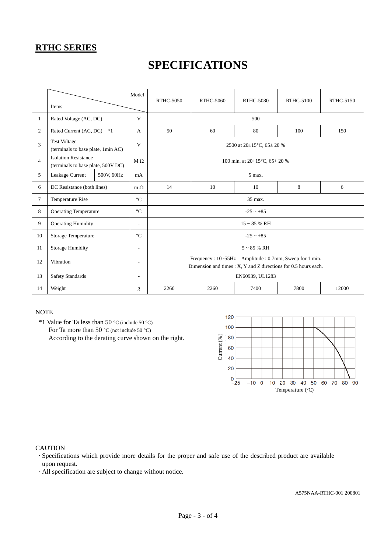### **RTHC SERIES**

## **SPECIFICATIONS**

|                | Model<br>Items                                                    |            |                          | <b>RTHC-5050</b>                                                                                                         | <b>RTHC-5060</b> | <b>RTHC-5080</b> | <b>RTHC-5100</b> | <b>RTHC-5150</b> |  |
|----------------|-------------------------------------------------------------------|------------|--------------------------|--------------------------------------------------------------------------------------------------------------------------|------------------|------------------|------------------|------------------|--|
| $\mathbf{1}$   | Rated Voltage (AC, DC)                                            |            | V                        | 500                                                                                                                      |                  |                  |                  |                  |  |
| 2              | Rated Current (AC, DC)<br>$*1$                                    |            | A                        | 50                                                                                                                       | 60               | 80               | 100              | 150              |  |
| 3              | <b>Test Voltage</b><br>(terminals to base plate, 1min AC)         |            | V                        | 2500 at 20±15°C, 65± 20 %                                                                                                |                  |                  |                  |                  |  |
| $\overline{4}$ | <b>Isolation Resistance</b><br>(terminals to base plate, 500V DC) |            | $M \Omega$               | 100 min. at $20\pm15^{\circ}$ C, $65\pm20\%$                                                                             |                  |                  |                  |                  |  |
| 5              | Leakage Current                                                   | 500V, 60Hz | mA                       | 5 max.                                                                                                                   |                  |                  |                  |                  |  |
| 6              | DC Resistance (both lines)                                        |            | $m \Omega$               | 14                                                                                                                       | 10               | 10               | 8                | 6                |  |
| $\tau$         | Temperature Rise                                                  |            | $\rm ^{\circ}C$          | 35 max.                                                                                                                  |                  |                  |                  |                  |  |
| 8              | <b>Operating Temperature</b>                                      |            | $\rm ^{\circ}C$          | $-25 - +85$                                                                                                              |                  |                  |                  |                  |  |
| 9              | <b>Operating Humidity</b>                                         |            | $\overline{\phantom{a}}$ | $15 \sim 85$ % RH                                                                                                        |                  |                  |                  |                  |  |
| 10             | Storage Temperature                                               |            | $\rm ^{\circ}C$          | $-25 - +85$                                                                                                              |                  |                  |                  |                  |  |
| 11             | <b>Storage Humidity</b>                                           |            | $\overline{\phantom{a}}$ | $5 \sim 85$ % RH                                                                                                         |                  |                  |                  |                  |  |
| 12             | Vibration                                                         |            | $\overline{\phantom{a}}$ | Frequency: 10~55Hz Amplitude: 0.7mm, Sweep for 1 min.<br>Dimension and times : X, Y and Z directions for 0.5 hours each. |                  |                  |                  |                  |  |
| 13             | <b>Safety Standards</b><br>$\overline{\phantom{a}}$               |            | EN60939, UL1283          |                                                                                                                          |                  |                  |                  |                  |  |
| 14             | Weight                                                            |            | g                        | 2260                                                                                                                     | 2260             | 7400             | 7800             | 12000            |  |

### **NOTE**

 \*1 Value for Ta less than 50 °C (include 50 °C) For Ta more than 50 °C (not include 50 °C) According to the derating curve shown on the right.



#### **CAUTION**

- ·Specifications which provide more details for the proper and safe use of the described product are available upon request.
- ·All specification are subject to change without notice.

A575NAA-RTHC-001 200801